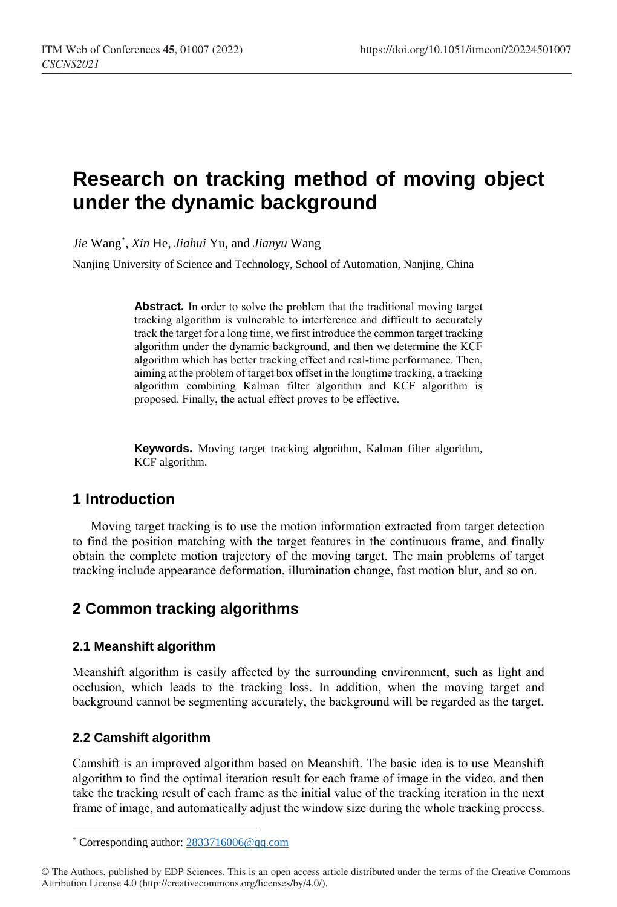# **Research on tracking method of moving object under the dynamic background**

*Jie* Wang\* *, Xin* He*, Jiahui* Yu*,* and *Jianyu* Wang

Nanjing University of Science and Technology, School of Automation, Nanjing, China

**Abstract.** In order to solve the problem that the traditional moving target tracking algorithm is vulnerable to interference and difficult to accurately track the target for a long time, we first introduce the common target tracking algorithm under the dynamic background, and then we determine the KCF algorithm which has better tracking effect and real-time performance. Then, aiming at the problem of target box offset in the longtime tracking, a tracking algorithm combining Kalman filter algorithm and KCF algorithm is proposed. Finally, the actual effect proves to be effective.

**Keywords.** Moving target tracking algorithm, Kalman filter algorithm, KCF algorithm.

# **1 Introduction**

Moving target tracking is to use the motion information extracted from target detection to find the position matching with the target features in the continuous frame, and finally obtain the complete motion trajectory of the moving target. The main problems of target tracking include appearance deformation, illumination change, fast motion blur, and so on.

# **2 Common tracking algorithms**

### **2.1 Meanshift algorithm**

Meanshift algorithm is easily affected by the surrounding environment, such as light and occlusion, which leads to the tracking loss. In addition, when the moving target and background cannot be segmenting accurately, the background will be regarded as the target.

### **2.2 Camshift algorithm**

 $\overline{a}$ 

Camshift is an improved algorithm based on Meanshift. The basic idea is to use Meanshift algorithm to find the optimal iteration result for each frame of image in the video, and then take the tracking result of each frame as the initial value of the tracking iteration in the next frame of image, and automatically adjust the window size during the whole tracking process.

<sup>\*</sup> Corresponding author[: 2833716006@qq.com](mailto:2833716006@qq.com)

<sup>©</sup> The Authors, published by EDP Sciences. This is an open access article distributed under the terms of the Creative Commons Attribution License 4.0 (http://creativecommons.org/licenses/by/4.0/).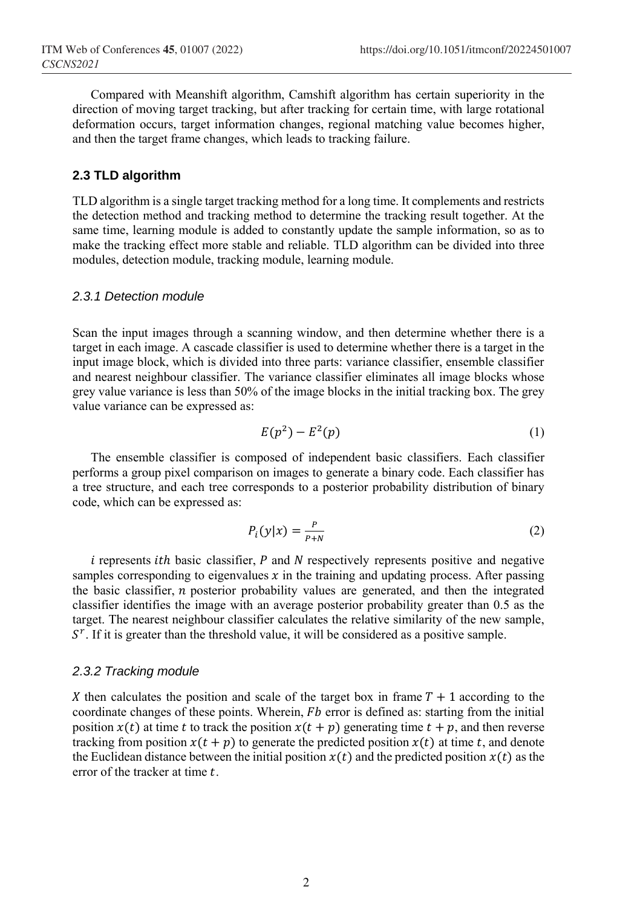Compared with Meanshift algorithm, Camshift algorithm has certain superiority in the direction of moving target tracking, but after tracking for certain time, with large rotational deformation occurs, target information changes, regional matching value becomes higher, and then the target frame changes, which leads to tracking failure.

### **2.3 TLD algorithm**

TLD algorithm is a single target tracking method for a long time. It complements and restricts the detection method and tracking method to determine the tracking result together. At the same time, learning module is added to constantly update the sample information, so as to make the tracking effect more stable and reliable. TLD algorithm can be divided into three modules, detection module, tracking module, learning module.

#### *2.3.1 Detection module*

Scan the input images through a scanning window, and then determine whether there is a target in each image. A cascade classifier is used to determine whether there is a target in the input image block, which is divided into three parts: variance classifier, ensemble classifier and nearest neighbour classifier. The variance classifier eliminates all image blocks whose grey value variance is less than 50% of the image blocks in the initial tracking box. The grey value variance can be expressed as:

$$
E(p^2) - E^2(p) \tag{1}
$$

The ensemble classifier is composed of independent basic classifiers. Each classifier performs a group pixel comparison on images to generate a binary code. Each classifier has a tree structure, and each tree corresponds to a posterior probability distribution of binary code, which can be expressed as:

$$
P_i(y|x) = \frac{P}{P+N} \tag{2}
$$

 $i$  represents *ith* basic classifier,  $P$  and  $N$  respectively represents positive and negative samples corresponding to eigenvalues  $x$  in the training and updating process. After passing the basic classifier,  $n$  posterior probability values are generated, and then the integrated classifier identifies the image with an average posterior probability greater than 0.5 as the target. The nearest neighbour classifier calculates the relative similarity of the new sample,  $S<sup>r</sup>$ . If it is greater than the threshold value, it will be considered as a positive sample.

#### *2.3.2 Tracking module*

X then calculates the position and scale of the target box in frame  $T + 1$  according to the coordinate changes of these points. Wherein,  $Fb$  error is defined as: starting from the initial position  $x(t)$  at time t to track the position  $x(t + p)$  generating time  $t + p$ , and then reverse tracking from position  $x(t + p)$  to generate the predicted position  $x(t)$  at time t, and denote the Euclidean distance between the initial position  $x(t)$  and the predicted position  $x(t)$  as the error of the tracker at time  $t$ .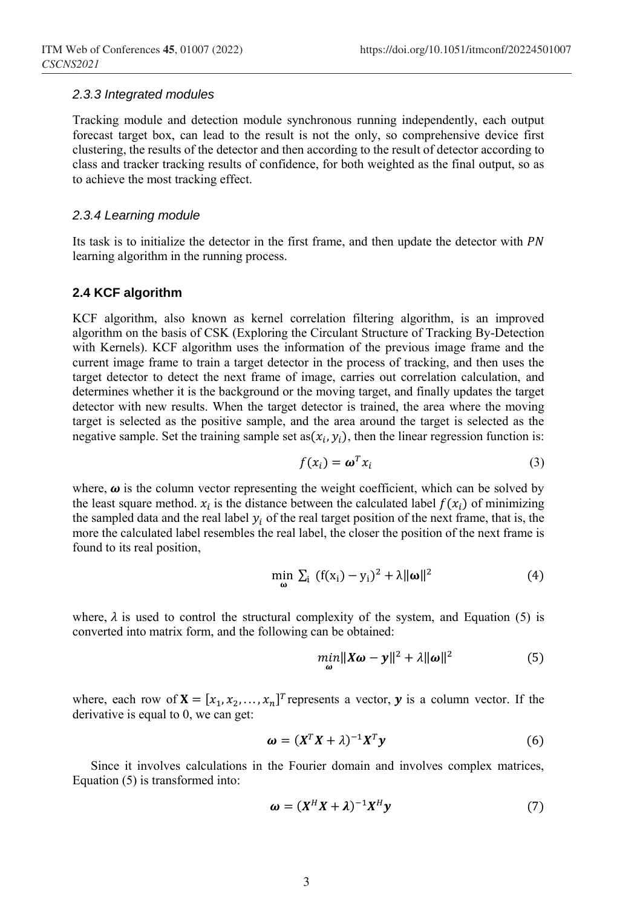#### *2.3.3 Integrated modules*

Tracking module and detection module synchronous running independently, each output forecast target box, can lead to the result is not the only, so comprehensive device first clustering, the results of the detector and then according to the result of detector according to class and tracker tracking results of confidence, for both weighted as the final output, so as to achieve the most tracking effect.

#### *2.3.4 Learning module*

Its task is to initialize the detector in the first frame, and then update the detector with PN learning algorithm in the running process.

#### **2.4 KCF algorithm**

KCF algorithm, also known as kernel correlation filtering algorithm, is an improved algorithm on the basis of CSK (Exploring the Circulant Structure of Tracking By-Detection with Kernels). KCF algorithm uses the information of the previous image frame and the current image frame to train a target detector in the process of tracking, and then uses the target detector to detect the next frame of image, carries out correlation calculation, and determines whether it is the background or the moving target, and finally updates the target detector with new results. When the target detector is trained, the area where the moving target is selected as the positive sample, and the area around the target is selected as the negative sample. Set the training sample set as  $(x_i, y_i)$ , then the linear regression function is:

$$
f(x_i) = \boldsymbol{\omega}^T x_i \tag{3}
$$

where,  $\omega$  is the column vector representing the weight coefficient, which can be solved by the least square method.  $x_i$  is the distance between the calculated label  $f(x_i)$  of minimizing the sampled data and the real label  $y_i$  of the real target position of the next frame, that is, the more the calculated label resembles the real label, the closer the position of the next frame is found to its real position,

$$
\min_{\mathbf{\omega}} \sum_{i} (f(x_i) - y_i)^2 + \lambda \|\mathbf{\omega}\|^2 \tag{4}
$$

where,  $\lambda$  is used to control the structural complexity of the system, and Equation (5) is converted into matrix form, and the following can be obtained:

$$
\min_{\boldsymbol{\omega}} \|\mathbf{X}\boldsymbol{\omega} - \mathbf{y}\|^2 + \lambda \|\boldsymbol{\omega}\|^2 \tag{5}
$$

where, each row of  $X = [x_1, x_2, ..., x_n]^T$  represents a vector, y is a column vector. If the derivative is equal to 0, we can get:

$$
\boldsymbol{\omega} = (X^T X + \lambda)^{-1} X^T \mathbf{y} \tag{6}
$$

Since it involves calculations in the Fourier domain and involves complex matrices, Equation (5) is transformed into:

$$
\boldsymbol{\omega} = (X^H X + \lambda)^{-1} X^H \mathbf{y} \tag{7}
$$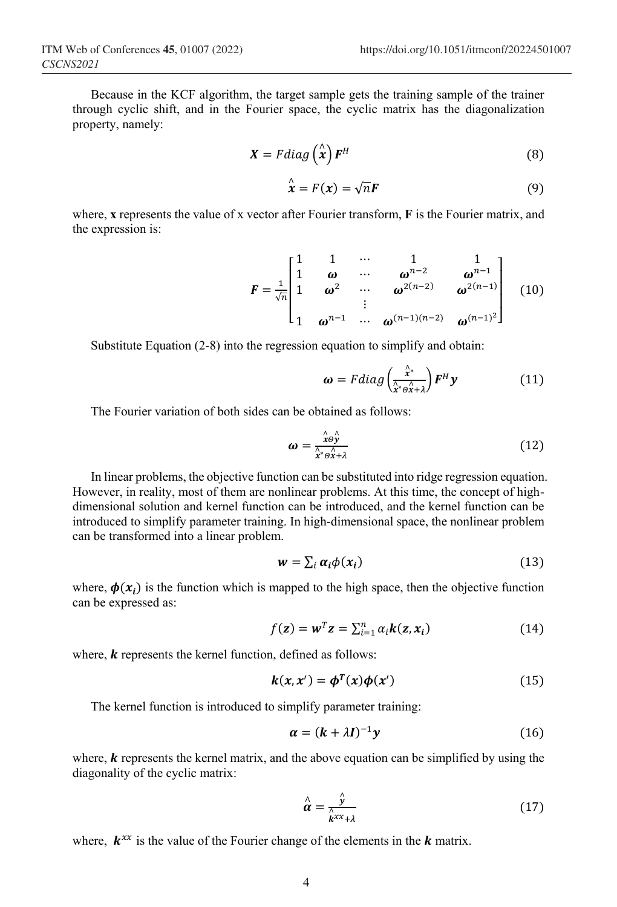Because in the KCF algorithm, the target sample gets the training sample of the trainer through cyclic shift, and in the Fourier space, the cyclic matrix has the diagonalization property, namely:

$$
\mathbf{X} = F \, diag\left(\stackrel{\wedge}{\mathbf{x}}\right) \mathbf{F}^H \tag{8}
$$

$$
\mathbf{\hat{x}}^{\wedge} = F(\mathbf{x}) = \sqrt{n} \mathbf{F} \tag{9}
$$

where, **x** represents the value of x vector after Fourier transform, **F** is the Fourier matrix, and the expression is:

$$
F = \frac{1}{\sqrt{n}} \begin{bmatrix} 1 & 1 & \cdots & 1 & 1 \\ 1 & \omega & \cdots & \omega^{n-2} & \omega^{n-1} \\ 1 & \omega^2 & \cdots & \omega^{2(n-2)} & \omega^{2(n-1)} \\ \vdots & \vdots & \ddots & \vdots \\ 1 & \omega^{n-1} & \cdots & \omega^{(n-1)(n-2)} & \omega^{(n-1)^2} \end{bmatrix}
$$
(10)

Substitute Equation (2-8) into the regression equation to simplify and obtain:

$$
\boldsymbol{\omega} = Fdiag\left(\frac{\hat{\lambda}^*}{\hat{\lambda}^* \Theta \hat{\lambda} + \lambda}\right) \boldsymbol{F}^H \boldsymbol{y}
$$
 (11)

The Fourier variation of both sides can be obtained as follows:

$$
\omega = \frac{\stackrel{\wedge}{x \theta} \stackrel{\wedge}{y}}{\stackrel{\wedge}{x^* \theta} \stackrel{\wedge}{x^* \theta}} \tag{12}
$$

In linear problems, the objective function can be substituted into ridge regression equation. However, in reality, most of them are nonlinear problems. At this time, the concept of highdimensional solution and kernel function can be introduced, and the kernel function can be introduced to simplify parameter training. In high-dimensional space, the nonlinear problem can be transformed into a linear problem.

$$
w = \sum_{i} \alpha_{i} \phi(x_{i})
$$
 (13)

where,  $\phi(x_i)$  is the function which is mapped to the high space, then the objective function can be expressed as:

$$
f(\mathbf{z}) = \mathbf{w}^T \mathbf{z} = \sum_{i=1}^n \alpha_i \mathbf{k}(\mathbf{z}, \mathbf{x}_i)
$$
 (14)

where,  $\boldsymbol{k}$  represents the kernel function, defined as follows:

$$
k(x, x') = \phi^T(x)\phi(x')
$$
 (15)

The kernel function is introduced to simplify parameter training:

$$
\alpha = (k + \lambda I)^{-1} y \tag{16}
$$

where,  $\bf{k}$  represents the kernel matrix, and the above equation can be simplified by using the diagonality of the cyclic matrix:

$$
\hat{\alpha} = \frac{\hat{\gamma}}{\hat{k}^{xx} + \lambda} \tag{17}
$$

where,  $k^{xx}$  is the value of the Fourier change of the elements in the  $k$  matrix.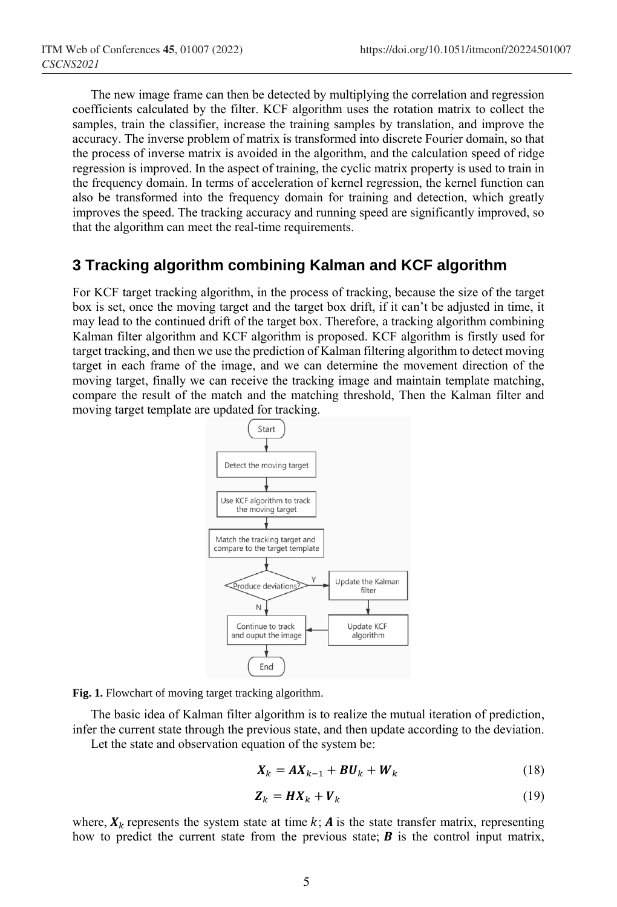The new image frame can then be detected by multiplying the correlation and regression coefficients calculated by the filter. KCF algorithm uses the rotation matrix to collect the samples, train the classifier, increase the training samples by translation, and improve the accuracy. The inverse problem of matrix is transformed into discrete Fourier domain, so that the process of inverse matrix is avoided in the algorithm, and the calculation speed of ridge regression is improved. In the aspect of training, the cyclic matrix property is used to train in the frequency domain. In terms of acceleration of kernel regression, the kernel function can also be transformed into the frequency domain for training and detection, which greatly improves the speed. The tracking accuracy and running speed are significantly improved, so that the algorithm can meet the real-time requirements.

## **3 Tracking algorithm combining Kalman and KCF algorithm**

For KCF target tracking algorithm, in the process of tracking, because the size of the target box is set, once the moving target and the target box drift, if it can't be adjusted in time, it may lead to the continued drift of the target box. Therefore, a tracking algorithm combining Kalman filter algorithm and KCF algorithm is proposed. KCF algorithm is firstly used for target tracking, and then we use the prediction of Kalman filtering algorithm to detect moving target in each frame of the image, and we can determine the movement direction of the moving target, finally we can receive the tracking image and maintain template matching, compare the result of the match and the matching threshold, Then the Kalman filter and moving target template are updated for tracking.



**Fig. 1.** Flowchart of moving target tracking algorithm.

The basic idea of Kalman filter algorithm is to realize the mutual iteration of prediction, infer the current state through the previous state, and then update according to the deviation.

Let the state and observation equation of the system be:

$$
\boldsymbol{X}_k = \boldsymbol{A}\boldsymbol{X}_{k-1} + \boldsymbol{B}\boldsymbol{U}_k + \boldsymbol{W}_k \tag{18}
$$

$$
\mathbf{Z}_k = \mathbf{H}\mathbf{X}_k + \mathbf{V}_k \tag{19}
$$

where,  $X_k$  represents the system state at time  $k$ ; A is the state transfer matrix, representing how to predict the current state from the previous state;  $\bf{B}$  is the control input matrix,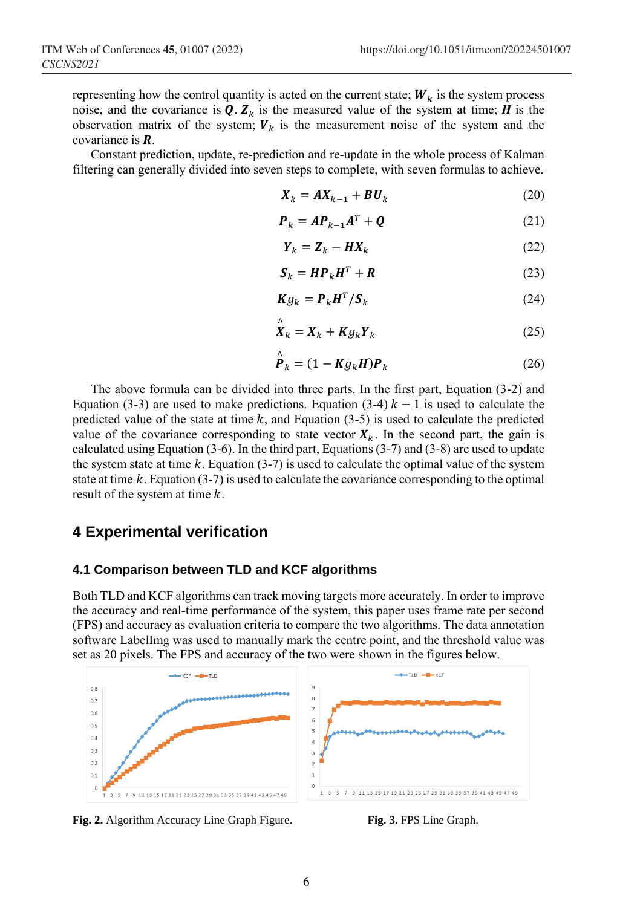representing how the control quantity is acted on the current state;  $W_k$  is the system process noise, and the covariance is  $Q$ .  $Z_k$  is the measured value of the system at time; *H* is the observation matrix of the system;  $V_k$  is the measurement noise of the system and the covariance is **.** 

Constant prediction, update, re-prediction and re-update in the whole process of Kalman filtering can generally divided into seven steps to complete, with seven formulas to achieve.

$$
\boldsymbol{X}_k = \boldsymbol{A} \boldsymbol{X}_{k-1} + \boldsymbol{B} \boldsymbol{U}_k \tag{20}
$$

$$
\boldsymbol{P}_k = \boldsymbol{A} \boldsymbol{P}_{k-1} \boldsymbol{A}^T + \boldsymbol{Q} \tag{21}
$$

$$
\boldsymbol{Y}_k = \boldsymbol{Z}_k - \boldsymbol{H}\boldsymbol{X}_k \tag{22}
$$

$$
\mathbf{S}_k = \mathbf{H} \mathbf{P}_k \mathbf{H}^T + \mathbf{R} \tag{23}
$$

$$
Kg_k = P_k H^T / S_k \tag{24}
$$

$$
\stackrel{\wedge}{X}_k = X_k + K g_k Y_k \tag{25}
$$

$$
\stackrel{\wedge}{\mathbf{P}}_{k} = (1 - K g_{k} H) \mathbf{P}_{k} \tag{26}
$$

The above formula can be divided into three parts. In the first part, Equation (3-2) and Equation (3-3) are used to make predictions. Equation (3-4)  $k - 1$  is used to calculate the predicted value of the state at time  $k$ , and Equation (3-5) is used to calculate the predicted value of the covariance corresponding to state vector  $X_k$ . In the second part, the gain is calculated using Equation (3-6). In the third part, Equations (3-7) and (3-8) are used to update the system state at time  $k$ . Equation (3-7) is used to calculate the optimal value of the system state at time  $k$ . Equation (3-7) is used to calculate the covariance corresponding to the optimal result of the system at time  $k$ .

### **4 Experimental verification**

#### **4.1 Comparison between TLD and KCF algorithms**

Both TLD and KCF algorithms can track moving targets more accurately. In order to improve the accuracy and real-time performance of the system, this paper uses frame rate per second (FPS) and accuracy as evaluation criteria to compare the two algorithms. The data annotation software LabelImg was used to manually mark the centre point, and the threshold value was set as 20 pixels. The FPS and accuracy of the two were shown in the figures below.



Fig. 2. Algorithm Accuracy Line Graph Figure. **Fig. 3.** FPS Line Graph.